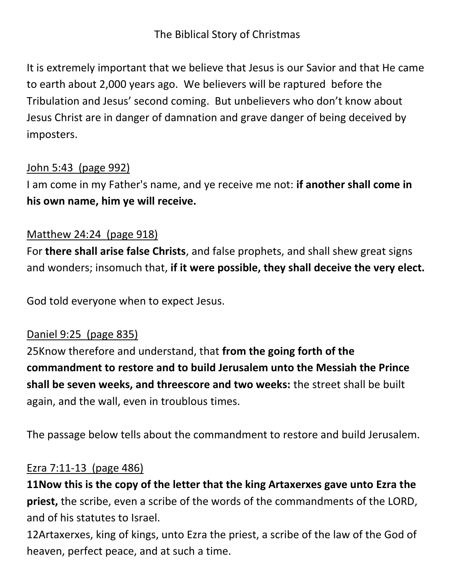# The Biblical Story of Christmas

It is extremely important that we believe that Jesus is our Savior and that He came to earth about 2,000 years ago. We believers will be raptured before the Tribulation and Jesus' second coming. But unbelievers who don't know about Jesus Christ are in danger of damnation and grave danger of being deceived by imposters.

#### John 5:43 (page 992)

I am come in my Father's name, and ye receive me not: **if another shall come in his own name, him ye will receive.**

#### Matthew 24:24 (page 918)

For **there shall arise false Christs**, and false prophets, and shall shew great signs and wonders; insomuch that, **if it were possible, they shall deceive the very elect.**

God told everyone when to expect Jesus.

#### Daniel 9:25 (page 835)

25Know therefore and understand, that **from the going forth of the commandment to restore and to build Jerusalem unto the Messiah the Prince shall be seven weeks, and threescore and two weeks:** the street shall be built again, and the wall, even in troublous times.

The passage below tells about the commandment to restore and build Jerusalem.

#### Ezra 7:11-13 (page 486)

**11Now this is the copy of the letter that the king Artaxerxes gave unto Ezra the priest,** the scribe, even a scribe of the words of the commandments of the LORD, and of his statutes to Israel.

12Artaxerxes, king of kings, unto Ezra the priest, a scribe of the law of the God of heaven, perfect peace, and at such a time.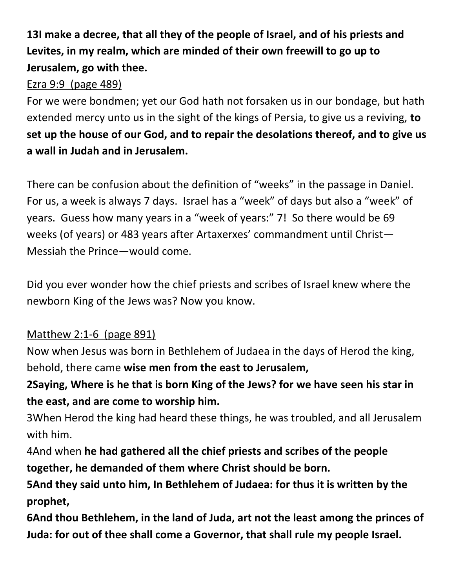# **13I make a decree, that all they of the people of Israel, and of his priests and Levites, in my realm, which are minded of their own freewill to go up to Jerusalem, go with thee.**

# Ezra 9:9 (page 489)

For we were bondmen; yet our God hath not forsaken us in our bondage, but hath extended mercy unto us in the sight of the kings of Persia, to give us a reviving, **to set up the house of our God, and to repair the desolations thereof, and to give us a wall in Judah and in Jerusalem.**

There can be confusion about the definition of "weeks" in the passage in Daniel. For us, a week is always 7 days. Israel has a "week" of days but also a "week" of years. Guess how many years in a "week of years:" 7! So there would be 69 weeks (of years) or 483 years after Artaxerxes' commandment until Christ— Messiah the Prince—would come.

Did you ever wonder how the chief priests and scribes of Israel knew where the newborn King of the Jews was? Now you know.

# Matthew 2:1-6 (page 891)

Now when Jesus was born in Bethlehem of Judaea in the days of Herod the king, behold, there came **wise men from the east to Jerusalem,**

**2Saying, Where is he that is born King of the Jews? for we have seen his star in the east, and are come to worship him.**

3When Herod the king had heard these things, he was troubled, and all Jerusalem with him.

4And when **he had gathered all the chief priests and scribes of the people together, he demanded of them where Christ should be born.**

**5And they said unto him, In Bethlehem of Judaea: for thus it is written by the prophet,**

**6And thou Bethlehem, in the land of Juda, art not the least among the princes of Juda: for out of thee shall come a Governor, that shall rule my people Israel.**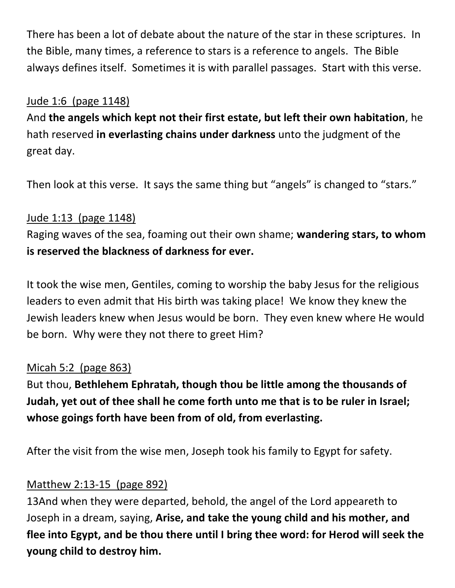There has been a lot of debate about the nature of the star in these scriptures. In the Bible, many times, a reference to stars is a reference to angels. The Bible always defines itself. Sometimes it is with parallel passages. Start with this verse.

#### Jude 1:6 (page 1148)

And **the angels which kept not their first estate, but left their own habitation**, he hath reserved **in everlasting chains under darkness** unto the judgment of the great day.

Then look at this verse. It says the same thing but "angels" is changed to "stars."

## Jude 1:13 (page 1148)

Raging waves of the sea, foaming out their own shame; **wandering stars, to whom is reserved the blackness of darkness for ever.**

It took the wise men, Gentiles, coming to worship the baby Jesus for the religious leaders to even admit that His birth was taking place! We know they knew the Jewish leaders knew when Jesus would be born. They even knew where He would be born. Why were they not there to greet Him?

## Micah 5:2 (page 863)

But thou, **Bethlehem Ephratah, though thou be little among the thousands of Judah, yet out of thee shall he come forth unto me that is to be ruler in Israel; whose goings forth have been from of old, from everlasting.**

After the visit from the wise men, Joseph took his family to Egypt for safety.

## Matthew 2:13-15 (page 892)

13And when they were departed, behold, the angel of the Lord appeareth to Joseph in a dream, saying, **Arise, and take the young child and his mother, and flee into Egypt, and be thou there until I bring thee word: for Herod will seek the young child to destroy him.**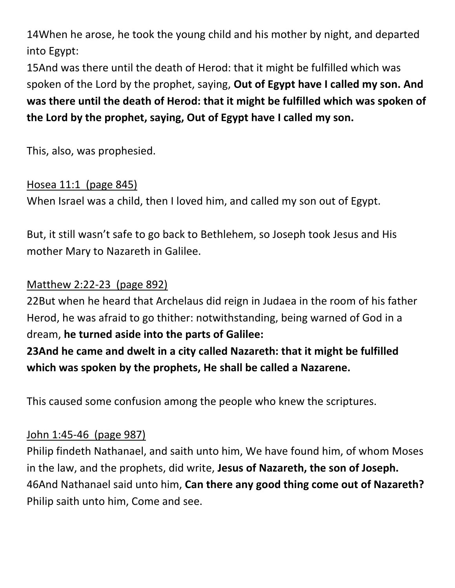14When he arose, he took the young child and his mother by night, and departed into Egypt:

15And was there until the death of Herod: that it might be fulfilled which was spoken of the Lord by the prophet, saying, **Out of Egypt have I called my son. And was there until the death of Herod: that it might be fulfilled which was spoken of the Lord by the prophet, saying, Out of Egypt have I called my son.**

This, also, was prophesied.

## Hosea 11:1 (page 845)

When Israel was a child, then I loved him, and called my son out of Egypt.

But, it still wasn't safe to go back to Bethlehem, so Joseph took Jesus and His mother Mary to Nazareth in Galilee.

# Matthew 2:22-23 (page 892)

22But when he heard that Archelaus did reign in Judaea in the room of his father Herod, he was afraid to go thither: notwithstanding, being warned of God in a dream, **he turned aside into the parts of Galilee:**

**23And he came and dwelt in a city called Nazareth: that it might be fulfilled which was spoken by the prophets, He shall be called a Nazarene.**

This caused some confusion among the people who knew the scriptures.

# John 1:45-46 (page 987)

Philip findeth Nathanael, and saith unto him, We have found him, of whom Moses in the law, and the prophets, did write, **Jesus of Nazareth, the son of Joseph.** 46And Nathanael said unto him, **Can there any good thing come out of Nazareth?**  Philip saith unto him, Come and see.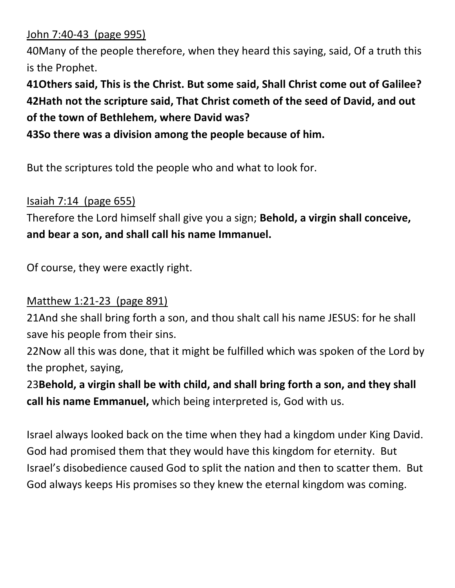John 7:40-43 (page 995)

40Many of the people therefore, when they heard this saying, said, Of a truth this is the Prophet.

**41Others said, This is the Christ. But some said, Shall Christ come out of Galilee? 42Hath not the scripture said, That Christ cometh of the seed of David, and out of the town of Bethlehem, where David was?**

**43So there was a division among the people because of him.**

But the scriptures told the people who and what to look for.

## Isaiah 7:14 (page 655)

Therefore the Lord himself shall give you a sign; **Behold, a virgin shall conceive, and bear a son, and shall call his name Immanuel.**

Of course, they were exactly right.

## Matthew 1:21-23 (page 891)

21And she shall bring forth a son, and thou shalt call his name JESUS: for he shall save his people from their sins.

22Now all this was done, that it might be fulfilled which was spoken of the Lord by the prophet, saying,

23**Behold, a virgin shall be with child, and shall bring forth a son, and they shall call his name Emmanuel,** which being interpreted is, God with us.

Israel always looked back on the time when they had a kingdom under King David. God had promised them that they would have this kingdom for eternity. But Israel's disobedience caused God to split the nation and then to scatter them. But God always keeps His promises so they knew the eternal kingdom was coming.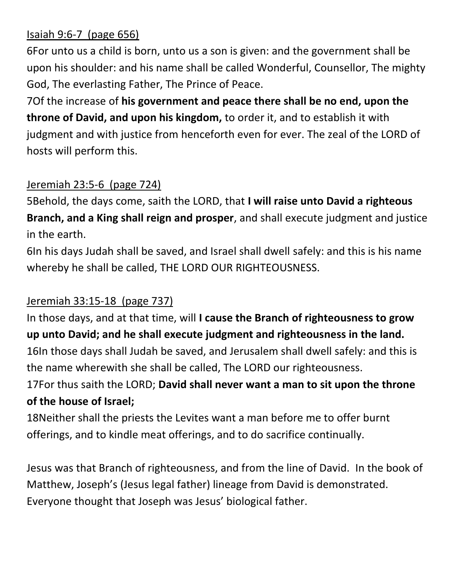# Isaiah 9:6-7 (page 656)

6For unto us a child is born, unto us a son is given: and the government shall be upon his shoulder: and his name shall be called Wonderful, Counsellor, The mighty God, The everlasting Father, The Prince of Peace.

7Of the increase of **his government and peace there shall be no end, upon the throne of David, and upon his kingdom,** to order it, and to establish it with judgment and with justice from henceforth even for ever. The zeal of the LORD of hosts will perform this.

## Jeremiah 23:5-6 (page 724)

5Behold, the days come, saith the LORD, that **I will raise unto David a righteous Branch, and a King shall reign and prosper**, and shall execute judgment and justice in the earth.

6In his days Judah shall be saved, and Israel shall dwell safely: and this is his name whereby he shall be called, THE LORD OUR RIGHTEOUSNESS.

# Jeremiah 33:15-18 (page 737)

In those days, and at that time, will **I cause the Branch of righteousness to grow up unto David; and he shall execute judgment and righteousness in the land.** 16In those days shall Judah be saved, and Jerusalem shall dwell safely: and this is the name wherewith she shall be called, The LORD our righteousness.

17For thus saith the LORD; **David shall never want a man to sit upon the throne of the house of Israel;**

18Neither shall the priests the Levites want a man before me to offer burnt offerings, and to kindle meat offerings, and to do sacrifice continually.

Jesus was that Branch of righteousness, and from the line of David. In the book of Matthew, Joseph's (Jesus legal father) lineage from David is demonstrated. Everyone thought that Joseph was Jesus' biological father.